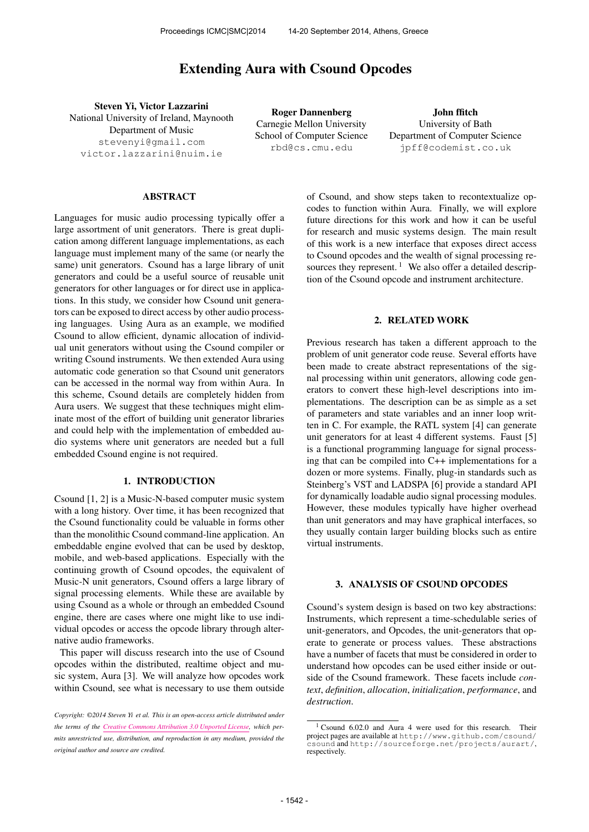# **Extending Aura with Csound Opcodes**

Steven Yi, Victor Lazzarini National University of Ireland, Maynooth Department of Music [stevenyi@gmail.com](mailto:stevenyi@gmail.com) [victor.lazzarini@nuim.ie](mailto:victor.lazzarini@nuim.ie)

Roger Dannenberg Carnegie Mellon University School of Computer Science [rbd@cs.cmu.edu](mailto:rbd@cs.cmu.edu)

John ffitch University of Bath Department of Computer Science [jpff@codemist.co.uk](mailto:jpff@codemist.co.uk)

# ABSTRACT

Languages for music audio processing typically offer a large assortment of unit generators. There is great duplication among different language implementations, as each language must implement many of the same (or nearly the same) unit generators. Csound has a large library of unit generators and could be a useful source of reusable unit generators for other languages or for direct use in applications. In this study, we consider how Csound unit generators can be exposed to direct access by other audio processing languages. Using Aura as an example, we modified Csound to allow efficient, dynamic allocation of individual unit generators without using the Csound compiler or writing Csound instruments. We then extended Aura using automatic code generation so that Csound unit generators can be accessed in the normal way from within Aura. In this scheme, Csound details are completely hidden from Aura users. We suggest that these techniques might eliminate most of the effort of building unit generator libraries and could help with the implementation of embedded audio systems where unit generators are needed but a full embedded Csound engine is not required.

# 1. INTRODUCTION

Csound [1, 2] is a Music-N-based computer music system with a long history. Over time, it has been recognized that the Csound functionality could be valuable in forms other than the monolithic Csound command-line application. An embeddable engine evolved that can be used by desktop, mobile, and web-based applications. Especially with the continuing growth of Csound opcodes, the equivalent of Music-N unit generators, Csound offers a large library of signal processing elements. While these are available by using Csound as a whole or through an embedded Csound engine, there are cases where one might like to use individual opcodes or access the opcode library through alternative audio frameworks.

This paper will discuss research into the use of Csound opcodes within the distributed, realtime object and music system, Aura [3]. We will analyze how opcodes work within Csound, see what is necessary to use them outside

of Csound, and show steps taken to recontextualize opcodes to function within Aura. Finally, we will explore future directions for this work and how it can be useful for research and music systems design. The main result of this work is a new interface that exposes direct access to Csound opcodes and the wealth of signal processing resources they represent.<sup>1</sup> We also offer a detailed description of the Csound opcode and instrument architecture.

# 2. RELATED WORK

Previous research has taken a different approach to the problem of unit generator code reuse. Several efforts have been made to create abstract representations of the signal processing within unit generators, allowing code generators to convert these high-level descriptions into implementations. The description can be as simple as a set of parameters and state variables and an inner loop written in C. For example, the RATL system [4] can generate unit generators for at least 4 different systems. Faust [5] is a functional programming language for signal processing that can be compiled into C++ implementations for a dozen or more systems. Finally, plug-in standards such as Steinberg's VST and LADSPA [6] provide a standard API for dynamically loadable audio signal processing modules. However, these modules typically have higher overhead than unit generators and may have graphical interfaces, so they usually contain larger building blocks such as entire virtual instruments.

#### 3. ANALYSIS OF CSOUND OPCODES

Csound's system design is based on two key abstractions: Instruments, which represent a time-schedulable series of unit-generators, and Opcodes, the unit-generators that operate to generate or process values. These abstractions have a number of facets that must be considered in order to understand how opcodes can be used either inside or outside of the Csound framework. These facets include *context*, *definition*, *allocation*, *initialization*, *performance*, and *destruction*.

*Copyright: ©2014 Steven Yi et al. This is an open-access article distributed under the terms of the [Creative Commons Attribution 3.0 Unported License,](http://creativecommons.org/licenses/by/3.0/) which permits unrestricted use, distribution, and reproduction in any medium, provided the original author and source are credited.*

<sup>&</sup>lt;sup>1</sup> Csound 6.02.0 and Aura 4 were used for this research. Their project pages are available at [http://www.github.com/csound/](http://www.github.com/csound/csound) [csound](http://www.github.com/csound/csound) and <http://sourceforge.net/projects/aurart/>, respectively.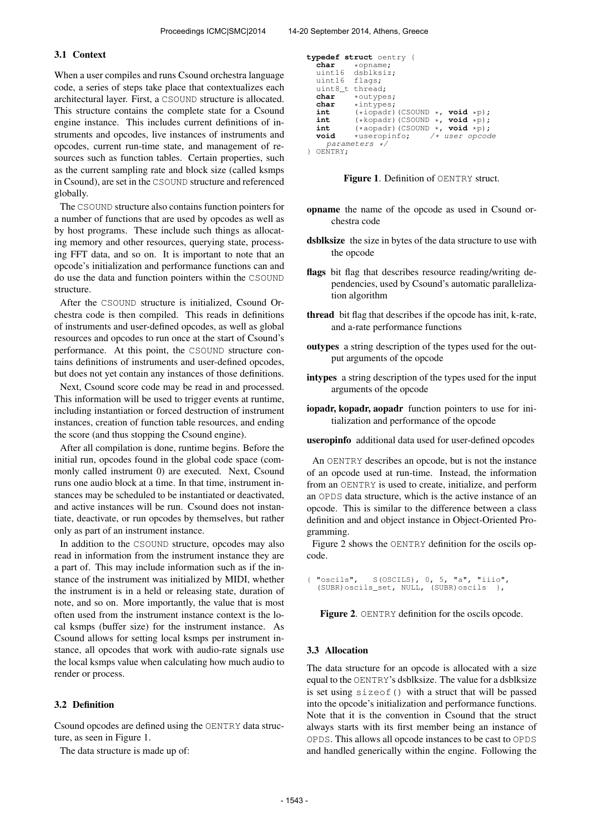#### 3.1 Context

When a user compiles and runs Csound orchestra language code, a series of steps take place that contextualizes each architectural layer. First, a CSOUND structure is allocated. This structure contains the complete state for a Csound engine instance. This includes current definitions of instruments and opcodes, live instances of instruments and opcodes, current run-time state, and management of resources such as function tables. Certain properties, such as the current sampling rate and block size (called ksmps in Csound), are set in the CSOUND structure and referenced globally.

The CSOUND structure also contains function pointers for a number of functions that are used by opcodes as well as by host programs. These include such things as allocating memory and other resources, querying state, processing FFT data, and so on. It is important to note that an opcode's initialization and performance functions can and do use the data and function pointers within the CSOUND structure.

After the CSOUND structure is initialized, Csound Orchestra code is then compiled. This reads in definitions of instruments and user-defined opcodes, as well as global resources and opcodes to run once at the start of Csound's performance. At this point, the CSOUND structure contains definitions of instruments and user-defined opcodes, but does not yet contain any instances of those definitions.

Next, Csound score code may be read in and processed. This information will be used to trigger events at runtime, including instantiation or forced destruction of instrument instances, creation of function table resources, and ending the score (and thus stopping the Csound engine).

After all compilation is done, runtime begins. Before the initial run, opcodes found in the global code space (commonly called instrument 0) are executed. Next, Csound runs one audio block at a time. In that time, instrument instances may be scheduled to be instantiated or deactivated, and active instances will be run. Csound does not instantiate, deactivate, or run opcodes by themselves, but rather only as part of an instrument instance.

In addition to the CSOUND structure, opcodes may also read in information from the instrument instance they are a part of. This may include information such as if the instance of the instrument was initialized by MIDI, whether the instrument is in a held or releasing state, duration of note, and so on. More importantly, the value that is most often used from the instrument instance context is the local ksmps (buffer size) for the instrument instance. As Csound allows for setting local ksmps per instrument instance, all opcodes that work with audio-rate signals use the local ksmps value when calculating how much audio to render or process.

### 3.2 Definition

Csound opcodes are defined using the OENTRY data structure, as seen in Figure 1.

The data structure is made up of:

```
typedef struct oentry {
   char *opname;
   uint16 dsblksiz;<br>uint16 flags:
                flags;<br>thread:
   uint8_ttchar
   char *outypes;<br>char *intypes:
   char *intypes;
   int (*iopadr)(CSOUND *, void *p);
int (*kopadr)(CSOUND *, void *p);
   int (*a\text{ or } (c\text{SOUND} *, \text{ void } *p);<br>
void *useropinfo; /* user opcoc
                                           \frac{1}{x} user opcode
      parameters */
} OENTRY;
```


- opname the name of the opcode as used in Csound orchestra code
- dsblksize the size in bytes of the data structure to use with the opcode
- flags bit flag that describes resource reading/writing dependencies, used by Csound's automatic parallelization algorithm
- thread bit flag that describes if the opcode has init, k-rate, and a-rate performance functions
- outypes a string description of the types used for the output arguments of the opcode
- intypes a string description of the types used for the input arguments of the opcode
- iopadr, kopadr, aopadr function pointers to use for initialization and performance of the opcode

useropinfo additional data used for user-defined opcodes

An OENTRY describes an opcode, but is not the instance of an opcode used at run-time. Instead, the information from an OENTRY is used to create, initialize, and perform an OPDS data structure, which is the active instance of an opcode. This is similar to the difference between a class definition and and object instance in Object-Oriented Programming.

Figure 2 shows the OENTRY definition for the oscils opcode.

"oscils", S(OSCILS), 0, 5, "a", "iiio", (SUBR)oscils\_set, NULL, (SUBR)oscils },

Figure 2. OENTRY definition for the oscils opcode.

#### 3.3 Allocation

The data structure for an opcode is allocated with a size equal to the OENTRY's dsblksize. The value for a dsblksize is set using sizeof() with a struct that will be passed into the opcode's initialization and performance functions. Note that it is the convention in Csound that the struct always starts with its first member being an instance of OPDS. This allows all opcode instances to be cast to OPDS and handled generically within the engine. Following the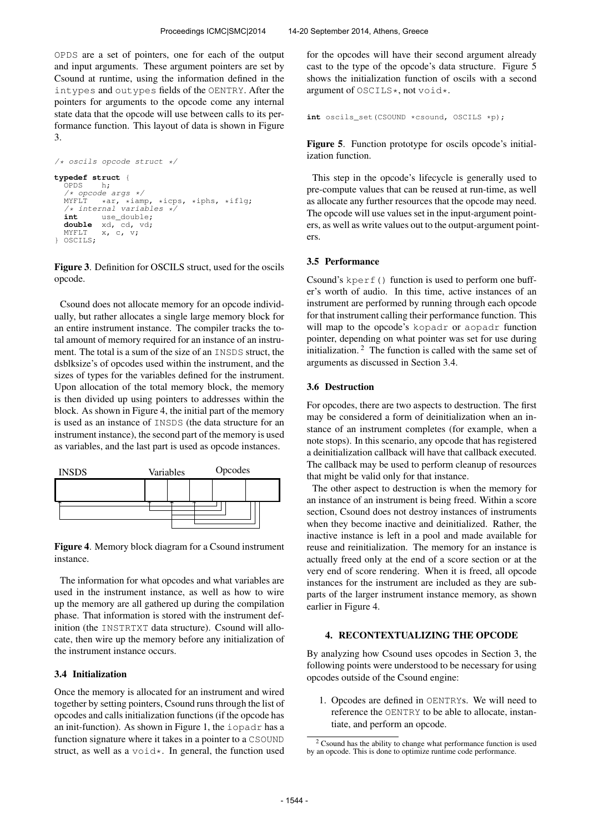OPDS are a set of pointers, one for each of the output and input arguments. These argument pointers are set by Csound at runtime, using the information defined in the intypes and outypes fields of the OENTRY. After the pointers for arguments to the opcode come any internal state data that the opcode will use between calls to its performance function. This layout of data is shown in Figure 3.

```
/* oscils opcode struct */
typedef struct {
   OPDS/* opcode args */<br>MYFLT *ar, *iam
   MYFLT *ar, *iamp, *icps, *iphs, *iflg;
/* internal variables */
   int use_double;
double xd, cd, vd;
  MYFLT x, c, v;
} OSCILS;
```
Figure 3. Definition for OSCILS struct, used for the oscils opcode.

Csound does not allocate memory for an opcode individually, but rather allocates a single large memory block for an entire instrument instance. The compiler tracks the total amount of memory required for an instance of an instrument. The total is a sum of the size of an INSDS struct, the dsblksize's of opcodes used within the instrument, and the sizes of types for the variables defined for the instrument. Upon allocation of the total memory block, the memory is then divided up using pointers to addresses within the block. As shown in Figure 4, the initial part of the memory is used as an instance of INSDS (the data structure for an instrument instance), the second part of the memory is used as variables, and the last part is used as opcode instances.



Figure 4. Memory block diagram for a Csound instrument instance.

The information for what opcodes and what variables are used in the instrument instance, as well as how to wire up the memory are all gathered up during the compilation phase. That information is stored with the instrument definition (the INSTRTXT data structure). Csound will allocate, then wire up the memory before any initialization of the instrument instance occurs.

#### 3.4 Initialization

Once the memory is allocated for an instrument and wired together by setting pointers, Csound runs through the list of opcodes and calls initialization functions (if the opcode has an init-function). As shown in Figure 1, the iopadr has a function signature where it takes in a pointer to a CSOUND struct, as well as a  $\text{void} \star$ . In general, the function used for the opcodes will have their second argument already cast to the type of the opcode's data structure. Figure 5 shows the initialization function of oscils with a second argument of OSCILS\*, not void\*.

```
int oscils set(CSOUND *csound, OSCILS *p);
```
Figure 5. Function prototype for oscils opcode's initialization function.

This step in the opcode's lifecycle is generally used to pre-compute values that can be reused at run-time, as well as allocate any further resources that the opcode may need. The opcode will use values set in the input-argument pointers, as well as write values out to the output-argument pointers.

#### 3.5 Performance

Csound's kperf() function is used to perform one buffer's worth of audio. In this time, active instances of an instrument are performed by running through each opcode for that instrument calling their performance function. This will map to the opcode's kopadr or aopadr function pointer, depending on what pointer was set for use during initialization. <sup>2</sup> The function is called with the same set of arguments as discussed in Section 3.4.

#### 3.6 Destruction

For opcodes, there are two aspects to destruction. The first may be considered a form of deinitialization when an instance of an instrument completes (for example, when a note stops). In this scenario, any opcode that has registered a deinitialization callback will have that callback executed. The callback may be used to perform cleanup of resources that might be valid only for that instance.

The other aspect to destruction is when the memory for an instance of an instrument is being freed. Within a score section, Csound does not destroy instances of instruments when they become inactive and deinitialized. Rather, the inactive instance is left in a pool and made available for reuse and reinitialization. The memory for an instance is actually freed only at the end of a score section or at the very end of score rendering. When it is freed, all opcode instances for the instrument are included as they are subparts of the larger instrument instance memory, as shown earlier in Figure 4.

# 4. RECONTEXTUALIZING THE OPCODE

By analyzing how Csound uses opcodes in Section 3, the following points were understood to be necessary for using opcodes outside of the Csound engine:

1. Opcodes are defined in OENTRYs. We will need to reference the OENTRY to be able to allocate, instantiate, and perform an opcode.

<sup>&</sup>lt;sup>2</sup> Csound has the ability to change what performance function is used by an opcode. This is done to optimize runtime code performance.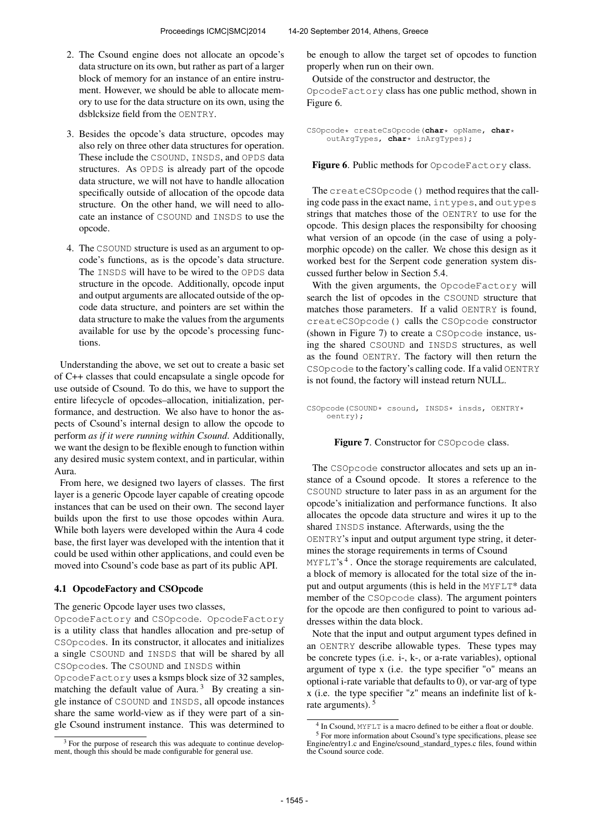- 2. The Csound engine does not allocate an opcode's data structure on its own, but rather as part of a larger block of memory for an instance of an entire instrument. However, we should be able to allocate memory to use for the data structure on its own, using the dsblcksize field from the OENTRY.
- 3. Besides the opcode's data structure, opcodes may also rely on three other data structures for operation. These include the CSOUND, INSDS, and OPDS data structures. As OPDS is already part of the opcode data structure, we will not have to handle allocation specifically outside of allocation of the opcode data structure. On the other hand, we will need to allocate an instance of CSOUND and INSDS to use the opcode.
- 4. The CSOUND structure is used as an argument to opcode's functions, as is the opcode's data structure. The INSDS will have to be wired to the OPDS data structure in the opcode. Additionally, opcode input and output arguments are allocated outside of the opcode data structure, and pointers are set within the data structure to make the values from the arguments available for use by the opcode's processing functions.

Understanding the above, we set out to create a basic set of C++ classes that could encapsulate a single opcode for use outside of Csound. To do this, we have to support the entire lifecycle of opcodes–allocation, initialization, performance, and destruction. We also have to honor the aspects of Csound's internal design to allow the opcode to perform *as if it were running within Csound*. Additionally, we want the design to be flexible enough to function within any desired music system context, and in particular, within Aura.

From here, we designed two layers of classes. The first layer is a generic Opcode layer capable of creating opcode instances that can be used on their own. The second layer builds upon the first to use those opcodes within Aura. While both layers were developed within the Aura 4 code base, the first layer was developed with the intention that it could be used within other applications, and could even be moved into Csound's code base as part of its public API.

# 4.1 OpcodeFactory and CSOpcode

# The generic Opcode layer uses two classes,

OpcodeFactory and CSOpcode. OpcodeFactory is a utility class that handles allocation and pre-setup of CSOpcodes. In its constructor, it allocates and initializes a single CSOUND and INSDS that will be shared by all CSOpcodes. The CSOUND and INSDS within

OpcodeFactory uses a ksmps block size of 32 samples, matching the default value of Aura.<sup>3</sup> By creating a single instance of CSOUND and INSDS, all opcode instances share the same world-view as if they were part of a single Csound instrument instance. This was determined to be enough to allow the target set of opcodes to function properly when run on their own.

Outside of the constructor and destructor, the OpcodeFactory class has one public method, shown in Figure 6.

```
CSOpcode* createCsOpcode(char* opName, char*
    outArgTypes, char* inArgTypes);
```
Figure 6. Public methods for OpcodeFactory class.

The createCSOpcode() method requires that the calling code pass in the exact name, intypes, and outypes strings that matches those of the OENTRY to use for the opcode. This design places the responsibilty for choosing what version of an opcode (in the case of using a polymorphic opcode) on the caller. We chose this design as it worked best for the Serpent code generation system discussed further below in Section 5.4.

With the given arguments, the OpcodeFactory will search the list of opcodes in the CSOUND structure that matches those parameters. If a valid OENTRY is found, createCSOpcode() calls the CSOpcode constructor (shown in Figure 7) to create a CSOpcode instance, using the shared CSOUND and INSDS structures, as well as the found OENTRY. The factory will then return the CSOpcode to the factory's calling code. If a valid OENTRY is not found, the factory will instead return NULL.

CSOpcode(CSOUND\* csound, INSDS\* insds, OENTRY\* oentry);

# Figure 7. Constructor for CSOpcode class.

The CSOpcode constructor allocates and sets up an instance of a Csound opcode. It stores a reference to the CSOUND structure to later pass in as an argument for the opcode's initialization and performance functions. It also allocates the opcode data structure and wires it up to the shared INSDS instance. Afterwards, using the the OENTRY's input and output argument type string, it determines the storage requirements in terms of Csound

MYFLT's<sup>4</sup>. Once the storage requirements are calculated, a block of memory is allocated for the total size of the input and output arguments (this is held in the MYFLT\* data member of the CSOpcode class). The argument pointers for the opcode are then configured to point to various addresses within the data block.

Note that the input and output argument types defined in an OENTRY describe allowable types. These types may be concrete types (i.e. i-, k-, or a-rate variables), optional argument of type x (i.e. the type specifier "o" means an optional i-rate variable that defaults to 0), or var-arg of type x (i.e. the type specifier "z" means an indefinite list of krate arguments).<sup>5</sup>

 $3$  For the purpose of research this was adequate to continue development, though this should be made configurable for general use.

<sup>&</sup>lt;sup>4</sup> In Csound, MYFLT is a macro defined to be either a float or double. <sup>5</sup> For more information about Csound's type specifications, please see Engine/entry1.c and Engine/csound\_standard\_types.c files, found within the Csound source code.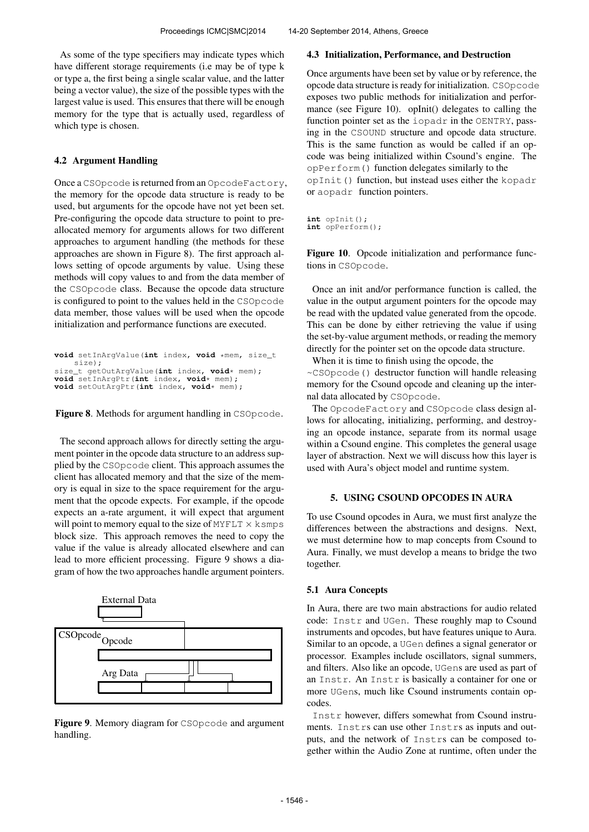As some of the type specifiers may indicate types which have different storage requirements (i.e may be of type k or type a, the first being a single scalar value, and the latter being a vector value), the size of the possible types with the largest value is used. This ensures that there will be enough memory for the type that is actually used, regardless of which type is chosen.

# 4.2 Argument Handling

Once a CSOpcode is returned from an OpcodeFactory, the memory for the opcode data structure is ready to be used, but arguments for the opcode have not yet been set. Pre-configuring the opcode data structure to point to preallocated memory for arguments allows for two different approaches to argument handling (the methods for these approaches are shown in Figure 8). The first approach allows setting of opcode arguments by value. Using these methods will copy values to and from the data member of the CSOpcode class. Because the opcode data structure is configured to point to the values held in the CSOpcode data member, those values will be used when the opcode initialization and performance functions are executed.

```
void setInArgValue(int index, void *mem, size_t
       size);
size_t getOutArgValue(int index, void* mem);
void setInArgPtr(int index, void* mem);
void setOutArgPtr(int index, void* mem);
```
Figure 8. Methods for argument handling in CSOpcode.

The second approach allows for directly setting the argument pointer in the opcode data structure to an address supplied by the CSOpcode client. This approach assumes the client has allocated memory and that the size of the memory is equal in size to the space requirement for the argument that the opcode expects. For example, if the opcode expects an a-rate argument, it will expect that argument will point to memory equal to the size of MYFLT  $\times$  ksmps block size. This approach removes the need to copy the value if the value is already allocated elsewhere and can lead to more efficient processing. Figure 9 shows a diagram of how the two approaches handle argument pointers.



Figure 9. Memory diagram for CSOpcode and argument handling.

# 4.3 Initialization, Performance, and Destruction

Once arguments have been set by value or by reference, the opcode data structure is ready for initialization. CSOpcode exposes two public methods for initialization and performance (see Figure 10). opInit() delegates to calling the function pointer set as the iopadr in the OENTRY, passing in the CSOUND structure and opcode data structure. This is the same function as would be called if an opcode was being initialized within Csound's engine. The opPerform() function delegates similarly to the opInit() function, but instead uses either the kopadr or aopadr function pointers.

**int** opInit(); **int** opPerform();

Figure 10. Opcode initialization and performance functions in CSOpcode.

Once an init and/or performance function is called, the value in the output argument pointers for the opcode may be read with the updated value generated from the opcode. This can be done by either retrieving the value if using the set-by-value argument methods, or reading the memory directly for the pointer set on the opcode data structure.

When it is time to finish using the opcode, the

~CSOpcode() destructor function will handle releasing memory for the Csound opcode and cleaning up the internal data allocated by CSOpcode.

The OpcodeFactory and CSOpcode class design allows for allocating, initializing, performing, and destroying an opcode instance, separate from its normal usage within a Csound engine. This completes the general usage layer of abstraction. Next we will discuss how this layer is used with Aura's object model and runtime system.

# 5. USING CSOUND OPCODES IN AURA

To use Csound opcodes in Aura, we must first analyze the differences between the abstractions and designs. Next, we must determine how to map concepts from Csound to Aura. Finally, we must develop a means to bridge the two together.

# 5.1 Aura Concepts

In Aura, there are two main abstractions for audio related code: Instr and UGen. These roughly map to Csound instruments and opcodes, but have features unique to Aura. Similar to an opcode, a UGen defines a signal generator or processor. Examples include oscillators, signal summers, and filters. Also like an opcode, UGens are used as part of an Instr. An Instr is basically a container for one or more UGens, much like Csound instruments contain opcodes.

Instr however, differs somewhat from Csound instruments. Instrs can use other Instrs as inputs and outputs, and the network of Instrs can be composed together within the Audio Zone at runtime, often under the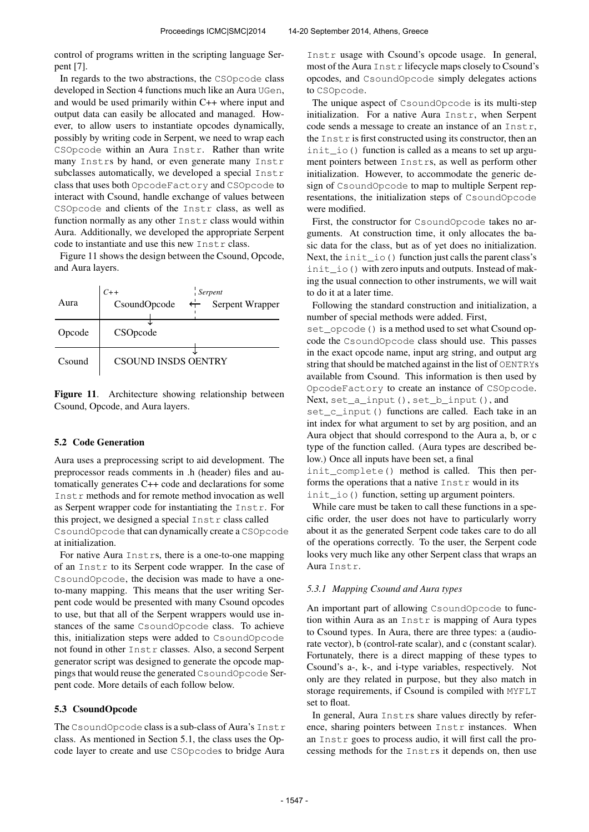control of programs written in the scripting language Serpent [7].

In regards to the two abstractions, the CSOpcode class developed in Section 4 functions much like an Aura UGen, and would be used primarily within C++ where input and output data can easily be allocated and managed. However, to allow users to instantiate opcodes dynamically, possibly by writing code in Serpent, we need to wrap each CSOpcode within an Aura Instr. Rather than write many Instrs by hand, or even generate many Instr subclasses automatically, we developed a special Instr class that uses both OpcodeFactory and CSOpcode to interact with Csound, handle exchange of values between CSOpcode and clients of the Instr class, as well as function normally as any other Instr class would within Aura. Additionally, we developed the appropriate Serpent code to instantiate and use this new Instr class.

Figure 11 shows the design between the Csound, Opcode, and Aura layers.

| Aura   | Serpent<br>$C++$<br>$\leftarrow$ Serpent Wrapper<br>CsoundOpcode |
|--------|------------------------------------------------------------------|
| Opcode | CSOpcode                                                         |
| Csound | <b>CSOUND INSDS OENTRY</b>                                       |



# 5.2 Code Generation

Aura uses a preprocessing script to aid development. The preprocessor reads comments in .h (header) files and automatically generates C++ code and declarations for some Instr methods and for remote method invocation as well as Serpent wrapper code for instantiating the Instr. For this project, we designed a special Instr class called CsoundOpcode that can dynamically create a CSOpcode at initialization.

For native Aura Instrs, there is a one-to-one mapping of an Instr to its Serpent code wrapper. In the case of CsoundOpcode, the decision was made to have a oneto-many mapping. This means that the user writing Serpent code would be presented with many Csound opcodes to use, but that all of the Serpent wrappers would use instances of the same CsoundOpcode class. To achieve this, initialization steps were added to CsoundOpcode not found in other Instr classes. Also, a second Serpent generator script was designed to generate the opcode mappings that would reuse the generated CsoundOpcode Serpent code. More details of each follow below.

# 5.3 CsoundOpcode

The CsoundOpcode class is a sub-class of Aura's Instr class. As mentioned in Section 5.1, the class uses the Opcode layer to create and use CSOpcodes to bridge Aura

Instr usage with Csound's opcode usage. In general, most of the Aura Instr lifecycle maps closely to Csound's opcodes, and CsoundOpcode simply delegates actions to CSOpcode.

The unique aspect of CsoundOpcode is its multi-step initialization. For a native Aura Instr, when Serpent code sends a message to create an instance of an Instr, the  $\text{Inst } r$  is first constructed using its constructor, then an init\_io() function is called as a means to set up argument pointers between Instrs, as well as perform other initialization. However, to accommodate the generic design of CsoundOpcode to map to multiple Serpent representations, the initialization steps of CsoundOpcode were modified.

First, the constructor for CsoundOpcode takes no arguments. At construction time, it only allocates the basic data for the class, but as of yet does no initialization. Next, the init io () function just calls the parent class's init\_io() with zero inputs and outputs. Instead of making the usual connection to other instruments, we will wait to do it at a later time.

Following the standard construction and initialization, a number of special methods were added. First,

set opcode () is a method used to set what Csound opcode the CsoundOpcode class should use. This passes in the exact opcode name, input arg string, and output arg string that should be matched against in the list of OENTRYs available from Csound. This information is then used by OpcodeFactory to create an instance of CSOpcode. Next, set\_a\_input(), set\_b\_input(), and

set\_c\_input() functions are called. Each take in an int index for what argument to set by arg position, and an Aura object that should correspond to the Aura a, b, or c type of the function called. (Aura types are described below.) Once all inputs have been set, a final

init complete() method is called. This then performs the operations that a native Instr would in its init\_io() function, setting up argument pointers.

While care must be taken to call these functions in a specific order, the user does not have to particularly worry about it as the generated Serpent code takes care to do all of the operations correctly. To the user, the Serpent code looks very much like any other Serpent class that wraps an Aura Instr.

# *5.3.1 Mapping Csound and Aura types*

An important part of allowing CsoundOpcode to function within Aura as an Instr is mapping of Aura types to Csound types. In Aura, there are three types: a (audiorate vector), b (control-rate scalar), and c (constant scalar). Fortunately, there is a direct mapping of these types to Csound's a-, k-, and i-type variables, respectively. Not only are they related in purpose, but they also match in storage requirements, if Csound is compiled with MYFLT set to float.

In general, Aura Instrs share values directly by reference, sharing pointers between  $Instr$  instances. When an Instr goes to process audio, it will first call the processing methods for the Instrs it depends on, then use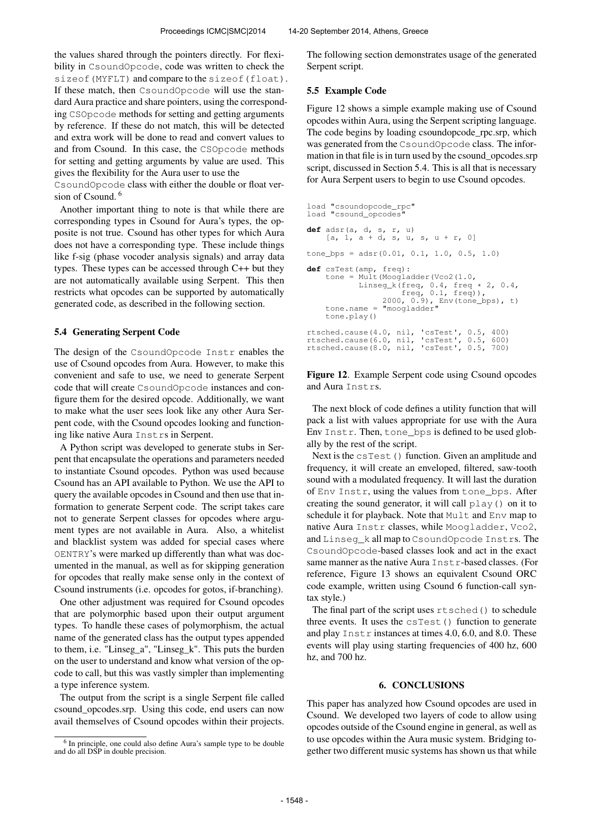the values shared through the pointers directly. For flexibility in CsoundOpcode, code was written to check the sizeof(MYFLT) and compare to the sizeof(float). If these match, then CsoundOpcode will use the standard Aura practice and share pointers, using the corresponding CSOpcode methods for setting and getting arguments by reference. If these do not match, this will be detected and extra work will be done to read and convert values to and from Csound. In this case, the CSOpcode methods for setting and getting arguments by value are used. This gives the flexibility for the Aura user to use the

CsoundOpcode class with either the double or float version of Csound.<sup>6</sup>

Another important thing to note is that while there are corresponding types in Csound for Aura's types, the opposite is not true. Csound has other types for which Aura does not have a corresponding type. These include things like f-sig (phase vocoder analysis signals) and array data types. These types can be accessed through C++ but they are not automatically available using Serpent. This then restricts what opcodes can be supported by automatically generated code, as described in the following section.

# 5.4 Generating Serpent Code

The design of the CsoundOpcode Instr enables the use of Csound opcodes from Aura. However, to make this convenient and safe to use, we need to generate Serpent code that will create CsoundOpcode instances and configure them for the desired opcode. Additionally, we want to make what the user sees look like any other Aura Serpent code, with the Csound opcodes looking and functioning like native Aura Instrs in Serpent.

A Python script was developed to generate stubs in Serpent that encapsulate the operations and parameters needed to instantiate Csound opcodes. Python was used because Csound has an API available to Python. We use the API to query the available opcodes in Csound and then use that information to generate Serpent code. The script takes care not to generate Serpent classes for opcodes where argument types are not available in Aura. Also, a whitelist and blacklist system was added for special cases where OENTRY's were marked up differently than what was documented in the manual, as well as for skipping generation for opcodes that really make sense only in the context of Csound instruments (i.e. opcodes for gotos, if-branching).

One other adjustment was required for Csound opcodes that are polymorphic based upon their output argument types. To handle these cases of polymorphism, the actual name of the generated class has the output types appended to them, i.e. "Linseg\_a", "Linseg\_k". This puts the burden on the user to understand and know what version of the opcode to call, but this was vastly simpler than implementing a type inference system.

The output from the script is a single Serpent file called csound\_opcodes.srp. Using this code, end users can now avail themselves of Csound opcodes within their projects. The following section demonstrates usage of the generated Serpent script.

### 5.5 Example Code

Figure 12 shows a simple example making use of Csound opcodes within Aura, using the Serpent scripting language. The code begins by loading csoundopcode\_rpc.srp, which was generated from the CsoundOpcode class. The information in that file is in turn used by the csound\_opcodes.srp script, discussed in Section 5.4. This is all that is necessary for Aura Serpent users to begin to use Csound opcodes.

```
load "csoundopcode_rpc"
load "csound opcodes"
def adsr(a, d, s, r, u)
       [a, 1, a + d, s, u, s, u + r, 0]tone_bps = adsr(0.01, 0.1, 1.0, 0.5, 1.0)def csTest(amp, freq):
tone = Mult(Moogladder(Vco2(1.0,
       Linseg_k(freq, 0.4, freq * 2, 0.4,<br>
freq, 0.1, freq)),<br>
2000, 0.9), Env(tone_bps), t)<br>
tone.name = "moogladder"
      tone.name =<br>tone.play()
rtsched.cause(4.0, nil, 'csTest', 0.5, 400)
rtsched.cause(6.0, nil, 'csTest', 0.5, 600)
rtsched.cause(8.0, nil, 'csTest', 0.5, 700)
```
Figure 12. Example Serpent code using Csound opcodes and Aura Instrs.

The next block of code defines a utility function that will pack a list with values appropriate for use with the Aura Env Instr. Then, tone\_bps is defined to be used globally by the rest of the script.

Next is the csTest() function. Given an amplitude and frequency, it will create an enveloped, filtered, saw-tooth sound with a modulated frequency. It will last the duration of Env Instr, using the values from tone\_bps. After creating the sound generator, it will call play() on it to schedule it for playback. Note that Mult and Env map to native Aura Instr classes, while Moogladder, Vco2, and Linseg\_k all map to CsoundOpcode Instrs. The CsoundOpcode-based classes look and act in the exact same manner as the native Aura Instr-based classes. (For reference, Figure 13 shows an equivalent Csound ORC code example, written using Csound 6 function-call syntax style.)

The final part of the script uses rtsched() to schedule three events. It uses the  $c$ sTest() function to generate and play Instr instances at times 4.0, 6.0, and 8.0. These events will play using starting frequencies of 400 hz, 600 hz, and 700 hz.

# 6. CONCLUSIONS

This paper has analyzed how Csound opcodes are used in Csound. We developed two layers of code to allow using opcodes outside of the Csound engine in general, as well as to use opcodes within the Aura music system. Bridging together two different music systems has shown us that while

<sup>&</sup>lt;sup>6</sup> In principle, one could also define Aura's sample type to be double and do all DSP in double precision.